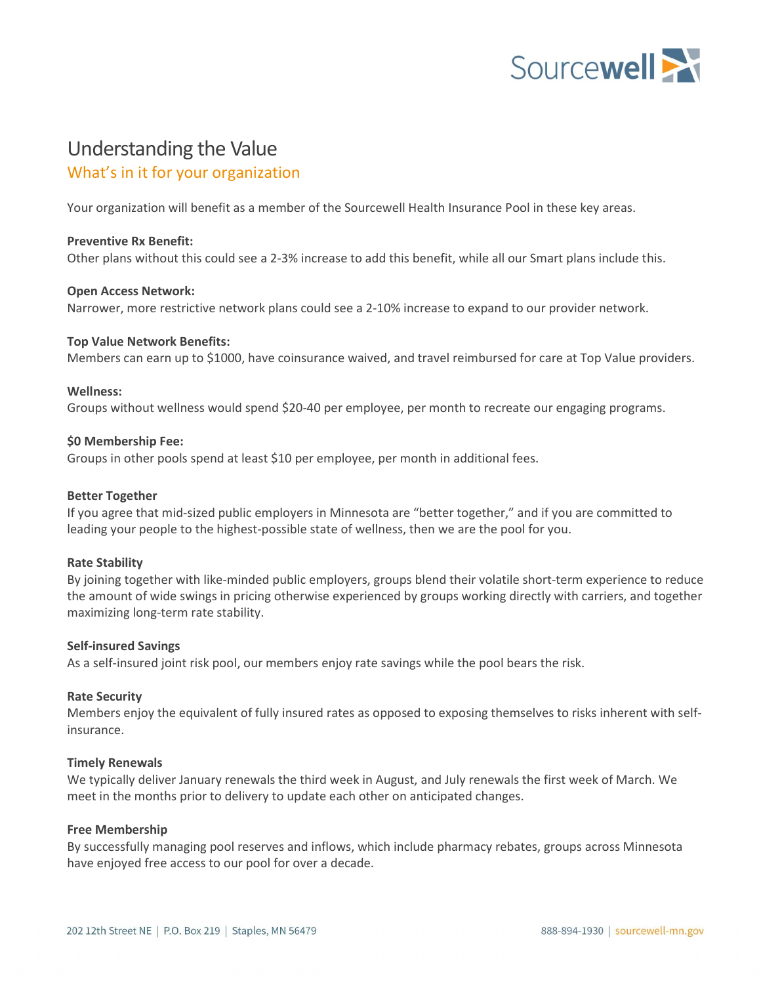

# Understanding the Value What's in it for your organization

Your organization will benefit as a member of the Sourcewell Health Insurance Pool in these key areas.

# Preventive Rx Benefit:

Other plans without this could see a 2-3% increase to add this benefit, while all our Smart plans include this.

# Open Access Network:

Narrower, more restrictive network plans could see a 2-10% increase to expand to our provider network.

#### Top Value Network Benefits:

Members can earn up to \$1000, have coinsurance waived, and travel reimbursed for care at Top Value providers.

#### Wellness:

Groups without wellness would spend \$20-40 per employee, per month to recreate our engaging programs.

#### \$0 Membership Fee:

Groups in other pools spend at least \$10 per employee, per month in additional fees.

## Better Together

If you agree that mid-sized public employers in Minnesota are "better together," and if you are committed to leading your people to the highest-possible state of wellness, then we are the pool for you.

# Rate Stability

By joining together with like-minded public employers, groups blend their volatile short-term experience to reduce the amount of wide swings in pricing otherwise experienced by groups working directly with carriers, and together maximizing long-term rate stability.

# Self-insured Savings

As a self-insured joint risk pool, our members enjoy rate savings while the pool bears the risk.

# Rate Security

Members enjoy the equivalent of fully insured rates as opposed to exposing themselves to risks inherent with selfinsurance.

#### Timely Renewals

We typically deliver January renewals the third week in August, and July renewals the first week of March. We meet in the months prior to delivery to update each other on anticipated changes.

# Free Membership

By successfully managing pool reserves and inflows, which include pharmacy rebates, groups across Minnesota have enjoyed free access to our pool for over a decade.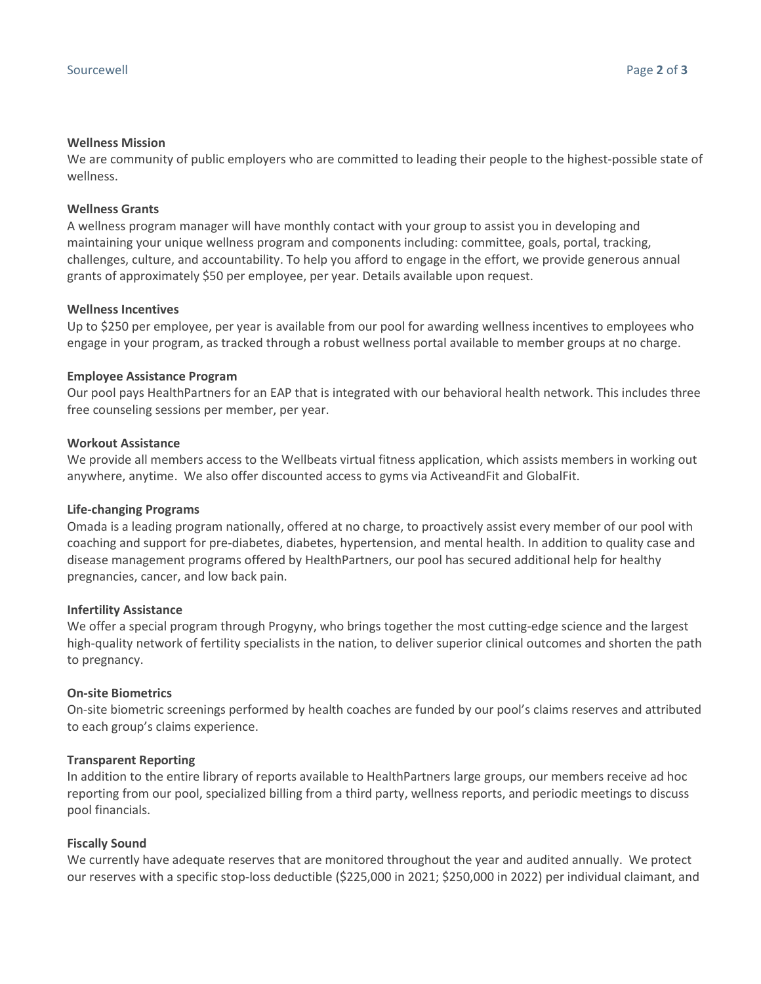# Wellness Mission

We are community of public employers who are committed to leading their people to the highest-possible state of wellness.

## Wellness Grants

A wellness program manager will have monthly contact with your group to assist you in developing and maintaining your unique wellness program and components including: committee, goals, portal, tracking, challenges, culture, and accountability. To help you afford to engage in the effort, we provide generous annual grants of approximately \$50 per employee, per year. Details available upon request.

#### Wellness Incentives

Up to \$250 per employee, per year is available from our pool for awarding wellness incentives to employees who engage in your program, as tracked through a robust wellness portal available to member groups at no charge.

#### Employee Assistance Program

Our pool pays HealthPartners for an EAP that is integrated with our behavioral health network. This includes three free counseling sessions per member, per year.

#### Workout Assistance

We provide all members access to the Wellbeats virtual fitness application, which assists members in working out anywhere, anytime. We also offer discounted access to gyms via ActiveandFit and GlobalFit.

#### Life-changing Programs

Omada is a leading program nationally, offered at no charge, to proactively assist every member of our pool with coaching and support for pre-diabetes, diabetes, hypertension, and mental health. In addition to quality case and disease management programs offered by HealthPartners, our pool has secured additional help for healthy pregnancies, cancer, and low back pain.

#### Infertility Assistance

We offer a special program through Progyny, who brings together the most cutting-edge science and the largest high-quality network of fertility specialists in the nation, to deliver superior clinical outcomes and shorten the path to pregnancy.

# On-site Biometrics

On-site biometric screenings performed by health coaches are funded by our pool's claims reserves and attributed to each group's claims experience.

# Transparent Reporting

In addition to the entire library of reports available to HealthPartners large groups, our members receive ad hoc reporting from our pool, specialized billing from a third party, wellness reports, and periodic meetings to discuss pool financials.

# Fiscally Sound

We currently have adequate reserves that are monitored throughout the year and audited annually. We protect our reserves with a specific stop-loss deductible (\$225,000 in 2021; \$250,000 in 2022) per individual claimant, and